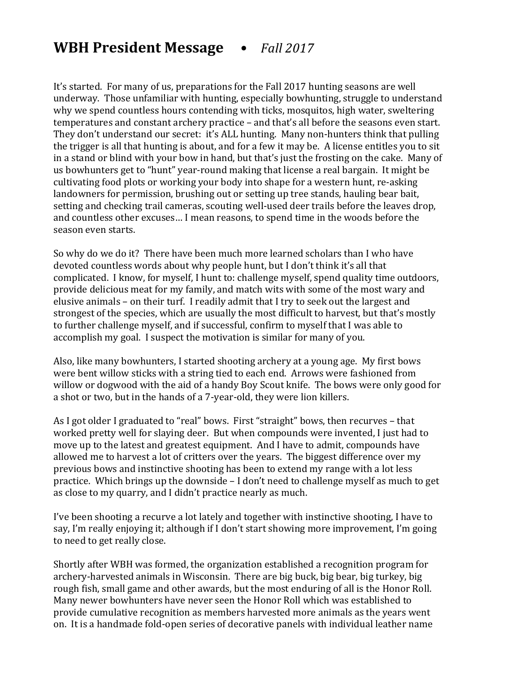## **WBH President Message •** Fall 2017

It's started. For many of us, preparations for the Fall 2017 hunting seasons are well underway. Those unfamiliar with hunting, especially bowhunting, struggle to understand why we spend countless hours contending with ticks, mosquitos, high water, sweltering temperatures and constant archery practice – and that's all before the seasons even start. They don't understand our secret: it's ALL hunting. Many non-hunters think that pulling the trigger is all that hunting is about, and for a few it may be. A license entitles you to sit in a stand or blind with your bow in hand, but that's just the frosting on the cake. Many of us bowhunters get to "hunt" year-round making that license a real bargain. It might be cultivating food plots or working your body into shape for a western hunt, re-asking landowners for permission, brushing out or setting up tree stands, hauling bear bait, setting and checking trail cameras, scouting well-used deer trails before the leaves drop, and countless other excuses... I mean reasons, to spend time in the woods before the season even starts.

So why do we do it? There have been much more learned scholars than I who have devoted countless words about why people hunt, but I don't think it's all that complicated. I know, for myself, I hunt to: challenge myself, spend quality time outdoors, provide delicious meat for my family, and match wits with some of the most wary and elusive animals - on their turf. I readily admit that I try to seek out the largest and strongest of the species, which are usually the most difficult to harvest, but that's mostly to further challenge myself, and if successful, confirm to myself that I was able to accomplish my goal. I suspect the motivation is similar for many of you.

Also, like many bowhunters, I started shooting archery at a young age. My first bows were bent willow sticks with a string tied to each end. Arrows were fashioned from willow or dogwood with the aid of a handy Boy Scout knife. The bows were only good for a shot or two, but in the hands of a 7-year-old, they were lion killers.

As I got older I graduated to "real" bows. First "straight" bows, then recurves – that worked pretty well for slaying deer. But when compounds were invented, I just had to move up to the latest and greatest equipment. And I have to admit, compounds have allowed me to harvest a lot of critters over the years. The biggest difference over my previous bows and instinctive shooting has been to extend my range with a lot less practice. Which brings up the downside – I don't need to challenge myself as much to get as close to my quarry, and I didn't practice nearly as much.

I've been shooting a recurve a lot lately and together with instinctive shooting, I have to say, I'm really enjoying it; although if I don't start showing more improvement, I'm going to need to get really close.

Shortly after WBH was formed, the organization established a recognition program for archery-harvested animals in Wisconsin. There are big buck, big bear, big turkey, big rough fish, small game and other awards, but the most enduring of all is the Honor Roll. Many newer bowhunters have never seen the Honor Roll which was established to provide cumulative recognition as members harvested more animals as the years went on. It is a handmade fold-open series of decorative panels with individual leather name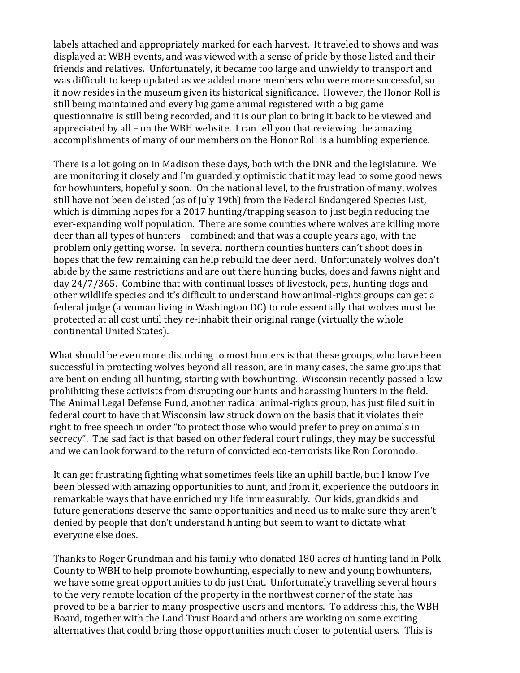labels attached and appropriately marked for each harvest. It traveled to shows and was displayed at WBH events, and was viewed with a sense of pride by those listed and their friends and relatives. Unfortunately, it became too large and unwieldy to transport and was difficult to keep updated as we added more members who were more successful, so it now resides in the museum given its historical significance. However, the Honor Roll is still being maintained and every big game animal registered with a big game questionnaire is still being recorded, and it is our plan to bring it back to be viewed and appreciated by all – on the WBH website. I can tell you that reviewing the amazing accomplishments of many of our members on the Honor Roll is a humbling experience.

There is a lot going on in Madison these days, both with the DNR and the legislature. We are monitoring it closely and I'm guardedly optimistic that it may lead to some good news for bowhunters, hopefully soon. On the national level, to the frustration of many, wolves still have not been delisted (as of July 19th) from the Federal Endangered Species List, which is dimming hopes for a 2017 hunting/trapping season to just begin reducing the ever-expanding wolf population. There are some counties where wolves are killing more deer than all types of hunters – combined; and that was a couple years ago, with the problem only getting worse. In several northern counties hunters can't shoot does in hopes that the few remaining can help rebuild the deer herd. Unfortunately wolves don't abide by the same restrictions and are out there hunting bucks, does and fawns night and day  $24/7/365$ . Combine that with continual losses of livestock, pets, hunting dogs and other wildlife species and it's difficult to understand how animal-rights groups can get a federal judge (a woman living in Washington  $DC$ ) to rule essentially that wolves must be protected at all cost until they re-inhabit their original range (virtually the whole continental United States).

What should be even more disturbing to most hunters is that these groups, who have been successful in protecting wolves beyond all reason, are in many cases, the same groups that are bent on ending all hunting, starting with bowhunting. Wisconsin recently passed a law prohibiting these activists from disrupting our hunts and harassing hunters in the field. The Animal Legal Defense Fund, another radical animal-rights group, has just filed suit in federal court to have that Wisconsin law struck down on the basis that it violates their right to free speech in order "to protect those who would prefer to prey on animals in secrecy". The sad fact is that based on other federal court rulings, they may be successful and we can look forward to the return of convicted eco-terrorists like Ron Coronodo.

It can get frustrating fighting what sometimes feels like an uphill battle, but I know I've been blessed with amazing opportunities to hunt, and from it, experience the outdoors in remarkable ways that have enriched my life immeasurably. Our kids, grandkids and future generations deserve the same opportunities and need us to make sure they aren't denied by people that don't understand hunting but seem to want to dictate what everyone else does.

Thanks to Roger Grundman and his family who donated 180 acres of hunting land in Polk County to WBH to help promote bowhunting, especially to new and young bowhunters, we have some great opportunities to do just that. Unfortunately travelling several hours to the very remote location of the property in the northwest corner of the state has proved to be a barrier to many prospective users and mentors. To address this, the WBH Board, together with the Land Trust Board and others are working on some exciting alternatives that could bring those opportunities much closer to potential users. This is